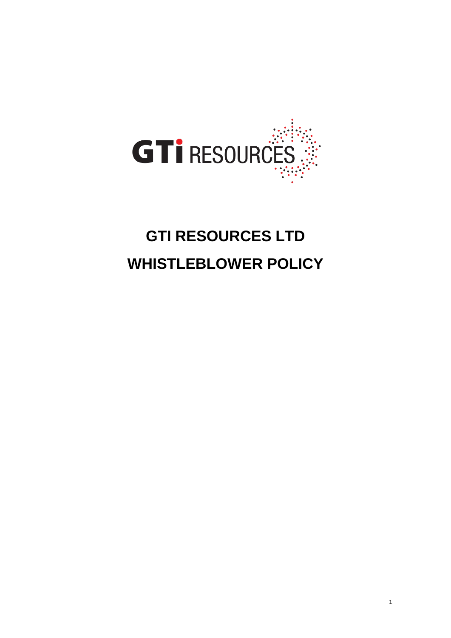

# **GTI RESOURCES LTD WHISTLEBLOWER POLICY**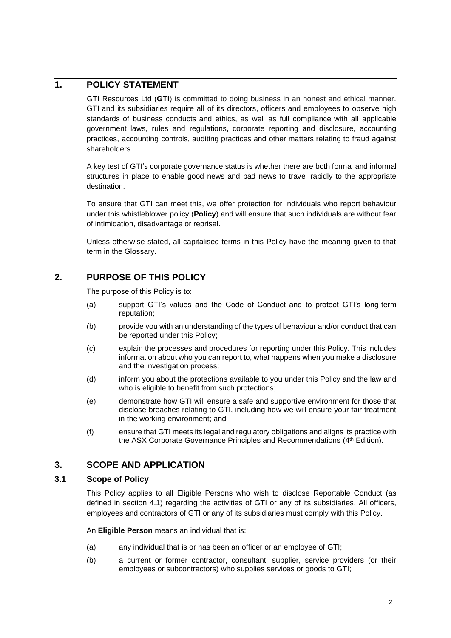# **1. POLICY STATEMENT**

GTI Resources Ltd (**GTI**) is committed to doing business in an honest and ethical manner. GTI and its subsidiaries require all of its directors, officers and employees to observe high standards of business conducts and ethics, as well as full compliance with all applicable government laws, rules and regulations, corporate reporting and disclosure, accounting practices, accounting controls, auditing practices and other matters relating to fraud against shareholders.

A key test of GTI's corporate governance status is whether there are both formal and informal structures in place to enable good news and bad news to travel rapidly to the appropriate destination.

To ensure that GTI can meet this, we offer protection for individuals who report behaviour under this whistleblower policy (**Policy**) and will ensure that such individuals are without fear of intimidation, disadvantage or reprisal.

Unless otherwise stated, all capitalised terms in this Policy have the meaning given to that term in the Glossary.

# **2. PURPOSE OF THIS POLICY**

The purpose of this Policy is to:

- (a) support GTI's values and the Code of Conduct and to protect GTI's long-term reputation;
- (b) provide you with an understanding of the types of behaviour and/or conduct that can be reported under this Policy;
- (c) explain the processes and procedures for reporting under this Policy. This includes information about who you can report to, what happens when you make a disclosure and the investigation process;
- (d) inform you about the protections available to you under this Policy and the law and who is eligible to benefit from such protections;
- (e) demonstrate how GTI will ensure a safe and supportive environment for those that disclose breaches relating to GTI, including how we will ensure your fair treatment in the working environment; and
- (f) ensure that GTI meets its legal and regulatory obligations and aligns its practice with the ASX Corporate Governance Principles and Recommendations (4<sup>th</sup> Edition).

# **3. SCOPE AND APPLICATION**

# <span id="page-1-0"></span>**3.1 Scope of Policy**

This Policy applies to all Eligible Persons who wish to disclose Reportable Conduct (as defined in section [4.1\)](#page-2-0) regarding the activities of GTI or any of its subsidiaries. All officers, employees and contractors of GTI or any of its subsidiaries must comply with this Policy.

An **Eligible Person** means an individual that is:

- (a) any individual that is or has been an officer or an employee of GTI;
- (b) a current or former contractor, consultant, supplier, service providers (or their employees or subcontractors) who supplies services or goods to GTI;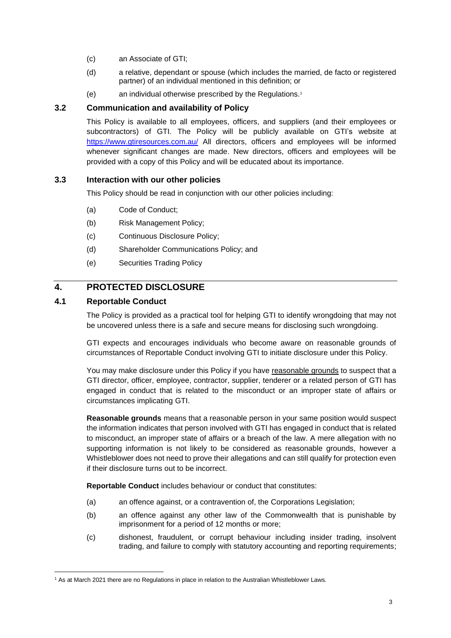- (c) an Associate of GTI;
- (d) a relative, dependant or spouse (which includes the married, de facto or registered partner) of an individual mentioned in this definition; or
- (e) an individual otherwise prescribed by the Regulations.<sup>1</sup>

# **3.2 Communication and availability of Policy**

This Policy is available to all employees, officers, and suppliers (and their employees or subcontractors) of GTI. The Policy will be publicly available on GTI's website at <https://www.gtiresources.com.au/> All directors, officers and employees will be informed whenever significant changes are made. New directors, officers and employees will be provided with a copy of this Policy and will be educated about its importance.

# **3.3 Interaction with our other policies**

This Policy should be read in conjunction with our other policies including:

- (a) Code of Conduct;
- (b) Risk Management Policy;
- (c) Continuous Disclosure Policy;
- (d) Shareholder Communications Policy; and
- (e) Securities Trading Policy

# **4. PROTECTED DISCLOSURE**

### <span id="page-2-0"></span>**4.1 Reportable Conduct**

The Policy is provided as a practical tool for helping GTI to identify wrongdoing that may not be uncovered unless there is a safe and secure means for disclosing such wrongdoing.

GTI expects and encourages individuals who become aware on reasonable grounds of circumstances of Reportable Conduct involving GTI to initiate disclosure under this Policy.

You may make disclosure under this Policy if you have reasonable grounds to suspect that a GTI director, officer, employee, contractor, supplier, tenderer or a related person of GTI has engaged in conduct that is related to the misconduct or an improper state of affairs or circumstances implicating GTI.

**Reasonable grounds** means that a reasonable person in your same position would suspect the information indicates that person involved with GTI has engaged in conduct that is related to misconduct, an improper state of affairs or a breach of the law. A mere allegation with no supporting information is not likely to be considered as reasonable grounds, however a Whistleblower does not need to prove their allegations and can still qualify for protection even if their disclosure turns out to be incorrect.

**Reportable Conduct** includes behaviour or conduct that constitutes:

- (a) an offence against, or a contravention of, the Corporations Legislation;
- (b) an offence against any other law of the Commonwealth that is punishable by imprisonment for a period of 12 months or more;
- (c) dishonest, fraudulent, or corrupt behaviour including insider trading, insolvent trading, and failure to comply with statutory accounting and reporting requirements;

<sup>&</sup>lt;sup>1</sup> As at March 2021 there are no Regulations in place in relation to the Australian Whistleblower Laws.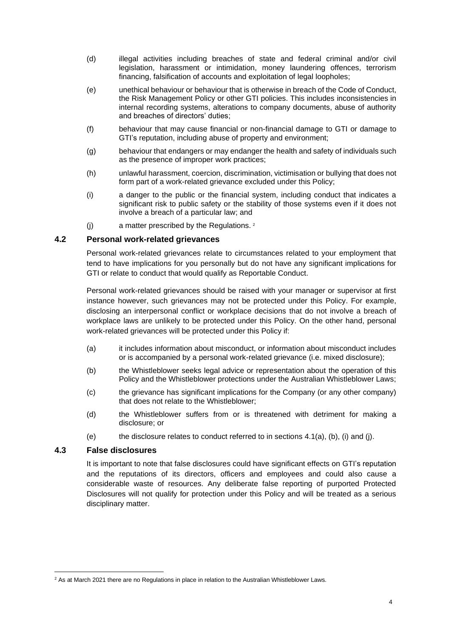- (d) illegal activities including breaches of state and federal criminal and/or civil legislation, harassment or intimidation, money laundering offences, terrorism financing, falsification of accounts and exploitation of legal loopholes;
- (e) unethical behaviour or behaviour that is otherwise in breach of the Code of Conduct, the Risk Management Policy or other GTI policies. This includes inconsistencies in internal recording systems, alterations to company documents, abuse of authority and breaches of directors' duties;
- (f) behaviour that may cause financial or non-financial damage to GTI or damage to GTI's reputation, including abuse of property and environment;
- (g) behaviour that endangers or may endanger the health and safety of individuals such as the presence of improper work practices;
- (h) unlawful harassment, coercion, discrimination, victimisation or bullying that does not form part of a work-related grievance excluded under this Policy;
- (i) a danger to the public or the financial system, including conduct that indicates a significant risk to public safety or the stability of those systems even if it does not involve a breach of a particular law; and
- (j)  $\blacksquare$  a matter prescribed by the Regulations.  $2^2$

### **4.2 Personal work-related grievances**

Personal work-related grievances relate to circumstances related to your employment that tend to have implications for you personally but do not have any significant implications for GTI or relate to conduct that would qualify as Reportable Conduct.

Personal work-related grievances should be raised with your manager or supervisor at first instance however, such grievances may not be protected under this Policy. For example, disclosing an interpersonal conflict or workplace decisions that do not involve a breach of workplace laws are unlikely to be protected under this Policy. On the other hand, personal work-related grievances will be protected under this Policy if:

- (a) it includes information about misconduct, or information about misconduct includes or is accompanied by a personal work-related grievance (i.e. mixed disclosure);
- (b) the Whistleblower seeks legal advice or representation about the operation of this Policy and the Whistleblower protections under the Australian Whistleblower Laws;
- (c) the grievance has significant implications for the Company (or any other company) that does not relate to the Whistleblower;
- (d) the Whistleblower suffers from or is threatened with detriment for making a disclosure; or
- (e) the disclosure relates to conduct referred to in sections  $4.1(a)$ , (b), (i) and (j).

#### **4.3 False disclosures**

It is important to note that false disclosures could have significant effects on GTI's reputation and the reputations of its directors, officers and employees and could also cause a considerable waste of resources. Any deliberate false reporting of purported Protected Disclosures will not qualify for protection under this Policy and will be treated as a serious disciplinary matter.

<sup>&</sup>lt;sup>2</sup> As at March 2021 there are no Regulations in place in relation to the Australian Whistleblower Laws.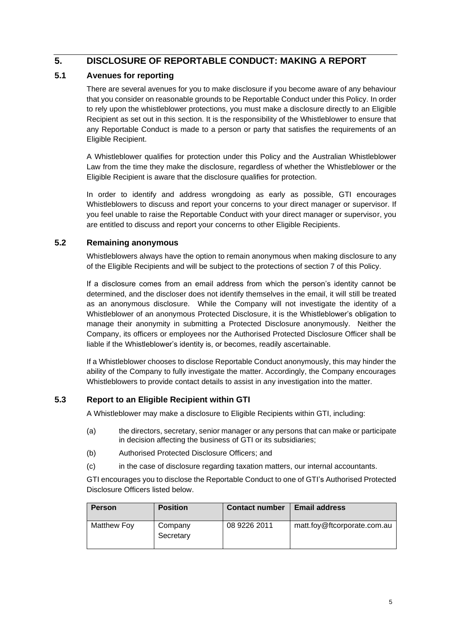# **5. DISCLOSURE OF REPORTABLE CONDUCT: MAKING A REPORT**

# **5.1 Avenues for reporting**

There are several avenues for you to make disclosure if you become aware of any behaviour that you consider on reasonable grounds to be Reportable Conduct under this Policy. In order to rely upon the whistleblower protections, you must make a disclosure directly to an Eligible Recipient as set out in this section. It is the responsibility of the Whistleblower to ensure that any Reportable Conduct is made to a person or party that satisfies the requirements of an Eligible Recipient.

A Whistleblower qualifies for protection under this Policy and the Australian Whistleblower Law from the time they make the disclosure, regardless of whether the Whistleblower or the Eligible Recipient is aware that the disclosure qualifies for protection.

In order to identify and address wrongdoing as early as possible, GTI encourages Whistleblowers to discuss and report your concerns to your direct manager or supervisor. If you feel unable to raise the Reportable Conduct with your direct manager or supervisor, you are entitled to discuss and report your concerns to other Eligible Recipients.

# **5.2 Remaining anonymous**

Whistleblowers always have the option to remain anonymous when making disclosure to any of the Eligible Recipients and will be subject to the protections of section 7 of this Policy.

If a disclosure comes from an email address from which the person's identity cannot be determined, and the discloser does not identify themselves in the email, it will still be treated as an anonymous disclosure. While the Company will not investigate the identity of a Whistleblower of an anonymous Protected Disclosure, it is the Whistleblower's obligation to manage their anonymity in submitting a Protected Disclosure anonymously. Neither the Company, its officers or employees nor the Authorised Protected Disclosure Officer shall be liable if the Whistleblower's identity is, or becomes, readily ascertainable.

If a Whistleblower chooses to disclose Reportable Conduct anonymously, this may hinder the ability of the Company to fully investigate the matter. Accordingly, the Company encourages Whistleblowers to provide contact details to assist in any investigation into the matter.

# <span id="page-4-0"></span>**5.3 Report to an Eligible Recipient within GTI**

A Whistleblower may make a disclosure to Eligible Recipients within GTI, including:

- (a) the directors, secretary, senior manager or any persons that can make or participate in decision affecting the business of GTI or its subsidiaries;
- (b) Authorised Protected Disclosure Officers; and
- (c) in the case of disclosure regarding taxation matters, our internal accountants.

GTI encourages you to disclose the Reportable Conduct to one of GTI's Authorised Protected Disclosure Officers listed below.

| <b>Person</b> | <b>Position</b>      | <b>Contact number</b> | <b>Email address</b>        |
|---------------|----------------------|-----------------------|-----------------------------|
| Matthew Foy   | Company<br>Secretary | 08 9226 2011          | matt.foy@ftcorporate.com.au |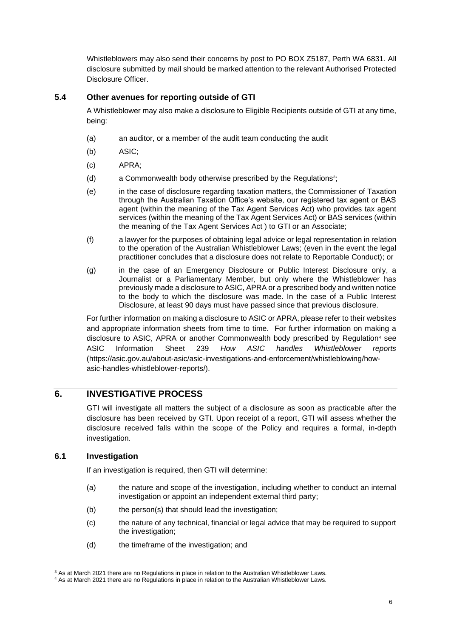Whistleblowers may also send their concerns by post to PO BOX Z5187, Perth WA 6831. All disclosure submitted by mail should be marked attention to the relevant Authorised Protected Disclosure Officer.

## **5.4 Other avenues for reporting outside of GTI**

A Whistleblower may also make a disclosure to Eligible Recipients outside of GTI at any time, being:

- (a) an auditor, or a member of the audit team conducting the audit
- (b) ASIC;
- (c) APRA;
- (d) a Commonwealth body otherwise prescribed by the Regulations<sup>3</sup>;
- (e) in the case of disclosure regarding taxation matters, the Commissioner of Taxation through the Australian Taxation Office's website, our registered tax agent or BAS agent (within the meaning of the Tax Agent Services Act) who provides tax agent services (within the meaning of the Tax Agent Services Act) or BAS services (within the meaning of the Tax Agent Services Act ) to GTI or an Associate;
- (f) a lawyer for the purposes of obtaining legal advice or legal representation in relation to the operation of the Australian Whistleblower Laws; (even in the event the legal practitioner concludes that a disclosure does not relate to Reportable Conduct); or
- (g) in the case of an Emergency Disclosure or Public Interest Disclosure only, a Journalist or a Parliamentary Member, but only where the Whistleblower has previously made a disclosure to ASIC, APRA or a prescribed body and written notice to the body to which the disclosure was made. In the case of a Public Interest Disclosure, at least 90 days must have passed since that previous disclosure.

For further information on making a disclosure to ASIC or APRA, please refer to their websites and appropriate information sheets from time to time. For further information on making a disclosure to ASIC, APRA or another Commonwealth body prescribed by Regulation<sup>4</sup> see ASIC Information Sheet 239 *How ASIC handles Whistleblower reports* (https://asic.gov.au/about-asic/asic-investigations-and-enforcement/whistleblowing/howasic-handles-whistleblower-reports/).

# **6. INVESTIGATIVE PROCESS**

GTI will investigate all matters the subject of a disclosure as soon as practicable after the disclosure has been received by GTI. Upon receipt of a report, GTI will assess whether the disclosure received falls within the scope of the Policy and requires a formal, in-depth investigation.

# **6.1 Investigation**

If an investigation is required, then GTI will determine:

- (a) the nature and scope of the investigation, including whether to conduct an internal investigation or appoint an independent external third party;
- (b) the person(s) that should lead the investigation;
- (c) the nature of any technical, financial or legal advice that may be required to support the investigation;
- (d) the timeframe of the investigation; and

<sup>&</sup>lt;sup>3</sup> As at March 2021 there are no Regulations in place in relation to the Australian Whistleblower Laws.

<sup>4</sup> As at March 2021 there are no Regulations in place in relation to the Australian Whistleblower Laws.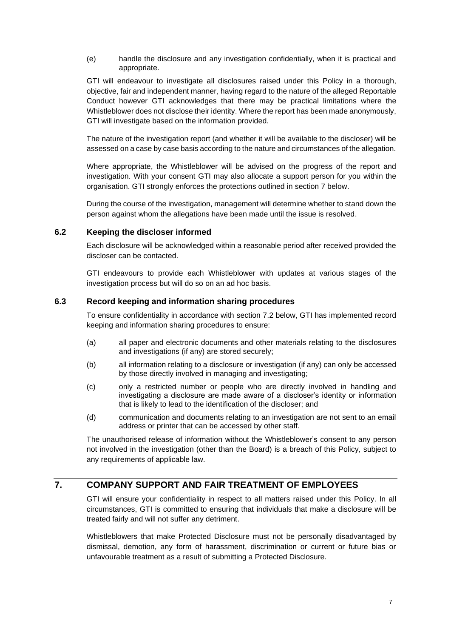(e) handle the disclosure and any investigation confidentially, when it is practical and appropriate.

GTI will endeavour to investigate all disclosures raised under this Policy in a thorough, objective, fair and independent manner, having regard to the nature of the alleged Reportable Conduct however GTI acknowledges that there may be practical limitations where the Whistleblower does not disclose their identity. Where the report has been made anonymously, GTI will investigate based on the information provided.

The nature of the investigation report (and whether it will be available to the discloser) will be assessed on a case by case basis according to the nature and circumstances of the allegation.

Where appropriate, the Whistleblower will be advised on the progress of the report and investigation. With your consent GTI may also allocate a support person for you within the organisation. GTI strongly enforces the protections outlined in section [7](#page-6-0) below.

During the course of the investigation, management will determine whether to stand down the person against whom the allegations have been made until the issue is resolved.

### **6.2 Keeping the discloser informed**

Each disclosure will be acknowledged within a reasonable period after received provided the discloser can be contacted.

GTI endeavours to provide each Whistleblower with updates at various stages of the investigation process but will do so on an ad hoc basis.

### **6.3 Record keeping and information sharing procedures**

To ensure confidentiality in accordance with section [7.2](#page-7-0) below, GTI has implemented record keeping and information sharing procedures to ensure:

- (a) all paper and electronic documents and other materials relating to the disclosures and investigations (if any) are stored securely;
- (b) all information relating to a disclosure or investigation (if any) can only be accessed by those directly involved in managing and investigating;
- (c) only a restricted number or people who are directly involved in handling and investigating a disclosure are made aware of a discloser's identity or information that is likely to lead to the identification of the discloser; and
- (d) communication and documents relating to an investigation are not sent to an email address or printer that can be accessed by other staff.

The unauthorised release of information without the Whistleblower's consent to any person not involved in the investigation (other than the Board) is a breach of this Policy, subject to any requirements of applicable law.

# <span id="page-6-0"></span>**7. COMPANY SUPPORT AND FAIR TREATMENT OF EMPLOYEES**

GTI will ensure your confidentiality in respect to all matters raised under this Policy. In all circumstances, GTI is committed to ensuring that individuals that make a disclosure will be treated fairly and will not suffer any detriment.

Whistleblowers that make Protected Disclosure must not be personally disadvantaged by dismissal, demotion, any form of harassment, discrimination or current or future bias or unfavourable treatment as a result of submitting a Protected Disclosure.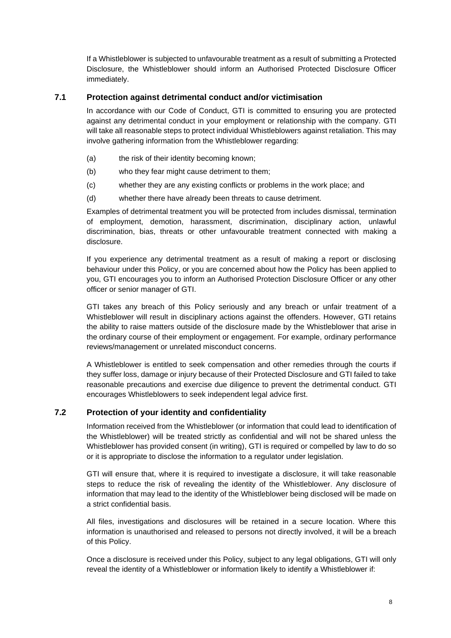If a Whistleblower is subjected to unfavourable treatment as a result of submitting a Protected Disclosure, the Whistleblower should inform an Authorised Protected Disclosure Officer immediately.

## **7.1 Protection against detrimental conduct and/or victimisation**

In accordance with our Code of Conduct, GTI is committed to ensuring you are protected against any detrimental conduct in your employment or relationship with the company. GTI will take all reasonable steps to protect individual Whistleblowers against retaliation. This may involve gathering information from the Whistleblower regarding:

- (a) the risk of their identity becoming known;
- (b) who they fear might cause detriment to them;
- (c) whether they are any existing conflicts or problems in the work place; and
- (d) whether there have already been threats to cause detriment.

Examples of detrimental treatment you will be protected from includes dismissal, termination of employment, demotion, harassment, discrimination, disciplinary action, unlawful discrimination, bias, threats or other unfavourable treatment connected with making a disclosure.

If you experience any detrimental treatment as a result of making a report or disclosing behaviour under this Policy, or you are concerned about how the Policy has been applied to you, GTI encourages you to inform an Authorised Protection Disclosure Officer or any other officer or senior manager of GTI.

GTI takes any breach of this Policy seriously and any breach or unfair treatment of a Whistleblower will result in disciplinary actions against the offenders. However, GTI retains the ability to raise matters outside of the disclosure made by the Whistleblower that arise in the ordinary course of their employment or engagement. For example, ordinary performance reviews/management or unrelated misconduct concerns.

A Whistleblower is entitled to seek compensation and other remedies through the courts if they suffer loss, damage or injury because of their Protected Disclosure and GTI failed to take reasonable precautions and exercise due diligence to prevent the detrimental conduct. GTI encourages Whistleblowers to seek independent legal advice first.

# <span id="page-7-0"></span>**7.2 Protection of your identity and confidentiality**

Information received from the Whistleblower (or information that could lead to identification of the Whistleblower) will be treated strictly as confidential and will not be shared unless the Whistleblower has provided consent (in writing), GTI is required or compelled by law to do so or it is appropriate to disclose the information to a regulator under legislation.

GTI will ensure that, where it is required to investigate a disclosure, it will take reasonable steps to reduce the risk of revealing the identity of the Whistleblower. Any disclosure of information that may lead to the identity of the Whistleblower being disclosed will be made on a strict confidential basis.

All files, investigations and disclosures will be retained in a secure location. Where this information is unauthorised and released to persons not directly involved, it will be a breach of this Policy.

Once a disclosure is received under this Policy, subject to any legal obligations, GTI will only reveal the identity of a Whistleblower or information likely to identify a Whistleblower if: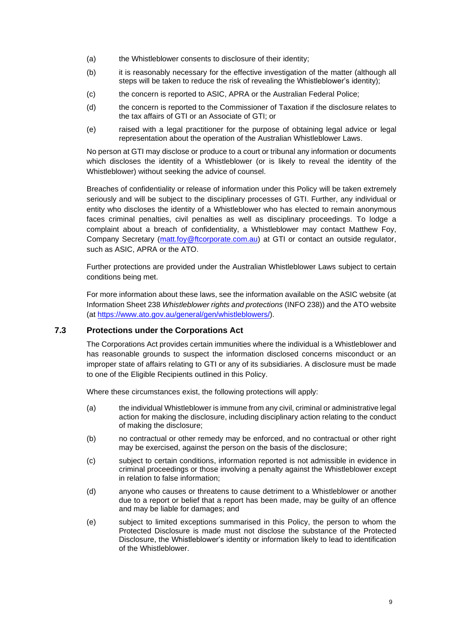- (a) the Whistleblower consents to disclosure of their identity;
- (b) it is reasonably necessary for the effective investigation of the matter (although all steps will be taken to reduce the risk of revealing the Whistleblower's identity);
- (c) the concern is reported to ASIC, APRA or the Australian Federal Police;
- (d) the concern is reported to the Commissioner of Taxation if the disclosure relates to the tax affairs of GTI or an Associate of GTI; or
- (e) raised with a legal practitioner for the purpose of obtaining legal advice or legal representation about the operation of the Australian Whistleblower Laws.

No person at GTI may disclose or produce to a court or tribunal any information or documents which discloses the identity of a Whistleblower (or is likely to reveal the identity of the Whistleblower) without seeking the advice of counsel.

Breaches of confidentiality or release of information under this Policy will be taken extremely seriously and will be subject to the disciplinary processes of GTI. Further, any individual or entity who discloses the identity of a Whistleblower who has elected to remain anonymous faces criminal penalties, civil penalties as well as disciplinary proceedings. To lodge a complaint about a breach of confidentiality, a Whistleblower may contact Matthew Foy, Company Secretary [\(matt.foy@ftcorporate.com.au\)](mailto:matt.foy@ftcorporate.com.au) at GTI or contact an outside regulator, such as ASIC, APRA or the ATO.

Further protections are provided under the Australian Whistleblower Laws subject to certain conditions being met.

For more information about these laws, see the information available on the ASIC website (at Information Sheet 238 *Whistleblower rights and protections* [\(INFO 238\)](https://asic.gov.au/about-asic/asic-investigations-and-enforcement/whistleblowing/whistleblower-rights-and-protections/)) and the ATO website (at [https://www.ato.gov.au/general/gen/whistleblowers/\)](https://www.ato.gov.au/general/gen/whistleblowers/).

#### <span id="page-8-0"></span>**7.3 Protections under the Corporations Act**

The Corporations Act provides certain immunities where the individual is a Whistleblower and has reasonable grounds to suspect the information disclosed concerns misconduct or an improper state of affairs relating to GTI or any of its subsidiaries. A disclosure must be made to one of the Eligible Recipients outlined in this Policy.

Where these circumstances exist, the following protections will apply:

- (a) the individual Whistleblower is immune from any civil, criminal or administrative legal action for making the disclosure, including disciplinary action relating to the conduct of making the disclosure;
- (b) no contractual or other remedy may be enforced, and no contractual or other right may be exercised, against the person on the basis of the disclosure;
- (c) subject to certain conditions, information reported is not admissible in evidence in criminal proceedings or those involving a penalty against the Whistleblower except in relation to false information;
- (d) anyone who causes or threatens to cause detriment to a Whistleblower or another due to a report or belief that a report has been made, may be guilty of an offence and may be liable for damages; and
- (e) subject to limited exceptions summarised in this Policy, the person to whom the Protected Disclosure is made must not disclose the substance of the Protected Disclosure, the Whistleblower's identity or information likely to lead to identification of the Whistleblower.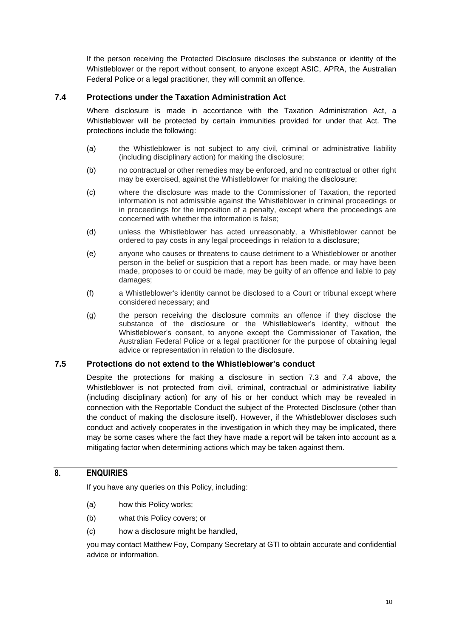If the person receiving the Protected Disclosure discloses the substance or identity of the Whistleblower or the report without consent, to anyone except ASIC, APRA, the Australian Federal Police or a legal practitioner, they will commit an offence.

# <span id="page-9-0"></span>**7.4 Protections under the Taxation Administration Act**

Where disclosure is made in accordance with the Taxation Administration Act, a Whistleblower will be protected by certain immunities provided for under that Act. The protections include the following:

- (a) the Whistleblower is not subject to any civil, criminal or administrative liability (including disciplinary action) for making the disclosure;
- (b) no contractual or other remedies may be enforced, and no contractual or other right may be exercised, against the Whistleblower for making the disclosure;
- (c) where the disclosure was made to the Commissioner of Taxation, the reported information is not admissible against the Whistleblower in criminal proceedings or in proceedings for the imposition of a penalty, except where the proceedings are concerned with whether the information is false;
- (d) unless the Whistleblower has acted unreasonably, a Whistleblower cannot be ordered to pay costs in any legal proceedings in relation to a disclosure;
- (e) anyone who causes or threatens to cause detriment to a Whistleblower or another person in the belief or suspicion that a report has been made, or may have been made, proposes to or could be made, may be guilty of an offence and liable to pay damages;
- (f) a Whistleblower's identity cannot be disclosed to a Court or tribunal except where considered necessary; and
- (g) the person receiving the disclosure commits an offence if they disclose the substance of the disclosure or the Whistleblower's identity, without the Whistleblower's consent, to anyone except the Commissioner of Taxation, the Australian Federal Police or a legal practitioner for the purpose of obtaining legal advice or representation in relation to the disclosure.

#### **7.5 Protections do not extend to the Whistleblower's conduct**

Despite the protections for making a disclosure in section [7.3](#page-8-0) and [7.4](#page-9-0) above, the Whistleblower is not protected from civil, criminal, contractual or administrative liability (including disciplinary action) for any of his or her conduct which may be revealed in connection with the Reportable Conduct the subject of the Protected Disclosure (other than the conduct of making the disclosure itself). However, if the Whistleblower discloses such conduct and actively cooperates in the investigation in which they may be implicated, there may be some cases where the fact they have made a report will be taken into account as a mitigating factor when determining actions which may be taken against them.

# **8. ENQUIRIES**

If you have any queries on this Policy, including:

- (a) how this Policy works;
- (b) what this Policy covers; or
- (c) how a disclosure might be handled,

you may contact Matthew Foy, Company Secretary at GTI to obtain accurate and confidential advice or information.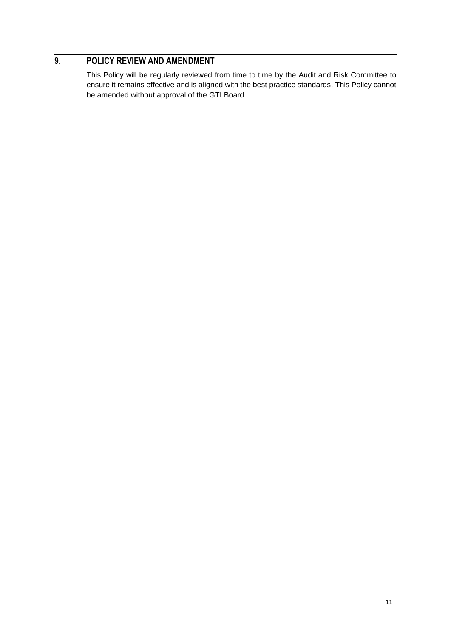# **9. POLICY REVIEW AND AMENDMENT**

This Policy will be regularly reviewed from time to time by the Audit and Risk Committee to ensure it remains effective and is aligned with the best practice standards. This Policy cannot be amended without approval of the GTI Board.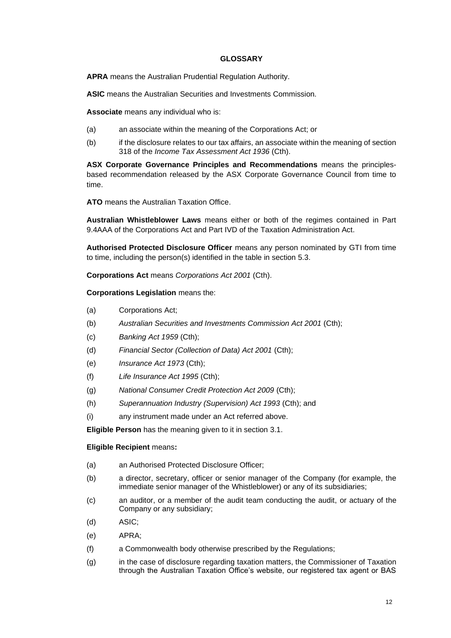#### **GLOSSARY**

**APRA** means the Australian Prudential Regulation Authority.

**ASIC** means the Australian Securities and Investments Commission.

**Associate** means any individual who is:

- (a) an associate within the meaning of the Corporations Act; or
- (b) if the disclosure relates to our tax affairs, an associate within the meaning of section 318 of the *Income Tax Assessment Act 1936* (Cth).

**ASX Corporate Governance Principles and Recommendations** means the principlesbased recommendation released by the ASX Corporate Governance Council from time to time.

**ATO** means the Australian Taxation Office.

**Australian Whistleblower Laws** means either or both of the regimes contained in Part 9.4AAA of the Corporations Act and Part IVD of the Taxation Administration Act.

**Authorised Protected Disclosure Officer** means any person nominated by GTI from time to time, including the person(s) identified in the table in section [5.3.](#page-4-0)

**Corporations Act** means *Corporations Act 2001* (Cth).

**Corporations Legislation** means the:

- (a) Corporations Act;
- (b) *Australian Securities and Investments Commission Act 2001* (Cth);
- (c) *Banking Act 1959* (Cth);
- (d) *Financial Sector (Collection of Data) Act 2001* (Cth);
- (e) *Insurance Act 1973* (Cth);
- (f) *Life Insurance Act 1995* (Cth);
- (g) *National Consumer Credit Protection Act 2009* (Cth);
- (h) *Superannuation Industry (Supervision) Act 1993* (Cth); and
- (i) any instrument made under an Act referred above.

**Eligible Person** has the meaning given to it in section [3.1.](#page-1-0)

#### **Eligible Recipient** means**:**

- (a) an Authorised Protected Disclosure Officer;
- (b) a director, secretary, officer or senior manager of the Company (for example, the immediate senior manager of the Whistleblower) or any of its subsidiaries;
- (c) an auditor, or a member of the audit team conducting the audit, or actuary of the Company or any subsidiary;
- (d) ASIC;
- (e) APRA;
- (f) a Commonwealth body otherwise prescribed by the Regulations;
- (g) in the case of disclosure regarding taxation matters, the Commissioner of Taxation through the Australian Taxation Office's website, our registered tax agent or BAS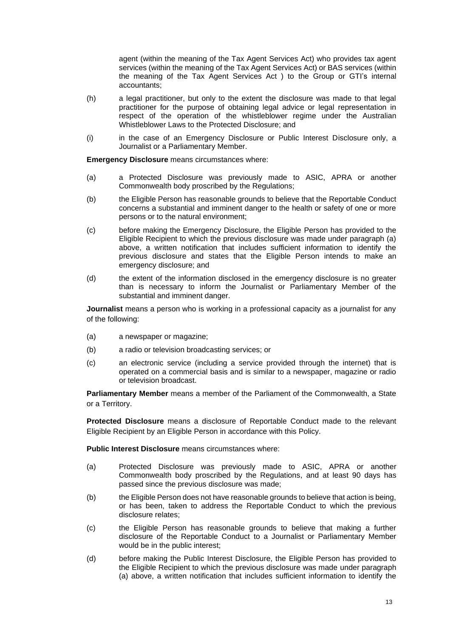agent (within the meaning of the Tax Agent Services Act) who provides tax agent services (within the meaning of the Tax Agent Services Act) or BAS services (within the meaning of the Tax Agent Services Act ) to the Group or GTI's internal accountants;

- (h) a legal practitioner, but only to the extent the disclosure was made to that legal practitioner for the purpose of obtaining legal advice or legal representation in respect of the operation of the whistleblower regime under the Australian Whistleblower Laws to the Protected Disclosure; and
- (i) in the case of an Emergency Disclosure or Public Interest Disclosure only, a Journalist or a Parliamentary Member.

**Emergency Disclosure** means circumstances where:

- (a) a Protected Disclosure was previously made to ASIC, APRA or another Commonwealth body proscribed by the Regulations;
- (b) the Eligible Person has reasonable grounds to believe that the Reportable Conduct concerns a substantial and imminent danger to the health or safety of one or more persons or to the natural environment;
- (c) before making the Emergency Disclosure, the Eligible Person has provided to the Eligible Recipient to which the previous disclosure was made under paragraph (a) above, a written notification that includes sufficient information to identify the previous disclosure and states that the Eligible Person intends to make an emergency disclosure; and
- (d) the extent of the information disclosed in the emergency disclosure is no greater than is necessary to inform the Journalist or Parliamentary Member of the substantial and imminent danger.

**Journalist** means a person who is working in a professional capacity as a journalist for any of the following:

- (a) a newspaper or magazine;
- (b) a radio or television broadcasting services; or
- (c) an electronic service (including a service provided through the internet) that is operated on a commercial basis and is similar to a newspaper, magazine or radio or television broadcast.

**Parliamentary Member** means a member of the Parliament of the Commonwealth, a State or a Territory.

**Protected Disclosure** means a disclosure of Reportable Conduct made to the relevant Eligible Recipient by an Eligible Person in accordance with this Policy.

**Public Interest Disclosure** means circumstances where:

- (a) Protected Disclosure was previously made to ASIC, APRA or another Commonwealth body proscribed by the Regulations, and at least 90 days has passed since the previous disclosure was made;
- (b) the Eligible Person does not have reasonable grounds to believe that action is being, or has been, taken to address the Reportable Conduct to which the previous disclosure relates;
- (c) the Eligible Person has reasonable grounds to believe that making a further disclosure of the Reportable Conduct to a Journalist or Parliamentary Member would be in the public interest;
- (d) before making the Public Interest Disclosure, the Eligible Person has provided to the Eligible Recipient to which the previous disclosure was made under paragraph (a) above, a written notification that includes sufficient information to identify the